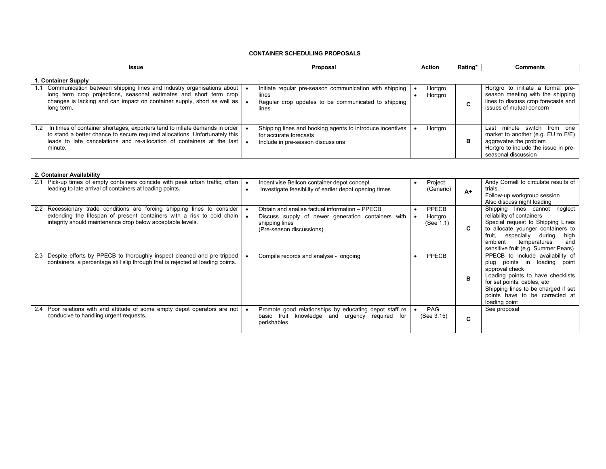### **CONTAINER SCHEDULING PROPOSALS**

| Issue                                                                                                                                                                                                                                           | Proposal                                                                                                                         | Action             | Rating* | <b>Comments</b>                                                                                                                                                  |  |  |  |  |  |
|-------------------------------------------------------------------------------------------------------------------------------------------------------------------------------------------------------------------------------------------------|----------------------------------------------------------------------------------------------------------------------------------|--------------------|---------|------------------------------------------------------------------------------------------------------------------------------------------------------------------|--|--|--|--|--|
| 1. Container Supply                                                                                                                                                                                                                             |                                                                                                                                  |                    |         |                                                                                                                                                                  |  |  |  |  |  |
| Communication between shipping lines and industry organisations about<br>long term crop projections, seasonal estimates and short term crop<br>changes is lacking and can impact on container supply, short as well as<br>long term.            | Initiate regular pre-season communication with shipping<br>lines<br>Regular crop updates to be communicated to shipping<br>lines | Hortgro<br>Hortgro |         | Hortgro to initiate a formal pre-<br>season meeting with the shipping<br>lines to discuss crop forecasts and<br>issues of mutual concern                         |  |  |  |  |  |
| In times of container shortages, exporters tend to inflate demands in order<br>to stand a better chance to secure required allocations. Unfortunately this<br>leads to late cancelations and re-allocation of containers at the last<br>minute. | Shipping lines and booking agents to introduce incentives<br>for accurate forecasts<br>Include in pre-season discussions         | Hortgro            | в       | minute switch<br>from one<br>Last<br>market to another (e.g. EU to F/E)<br>aggravates the problem<br>Hortgro to include the issue in pre-<br>seasonal discussion |  |  |  |  |  |

# **2. Container Availability**

| Pick-up times of empty containers coincide with peak urban traffic, often<br>2.1<br>leading to late arrival of containers at loading points.                                                                                               | Incentivise Bellcon container depot concept<br>Investigate feasibility of earlier depot opening times                                              | Project<br>(Generic)          | $A+$ | Andy Cornell to circulate results of<br>trials.<br>Follow-up workgroup session<br>Also discuss night loading                                                                                                                                               |
|--------------------------------------------------------------------------------------------------------------------------------------------------------------------------------------------------------------------------------------------|----------------------------------------------------------------------------------------------------------------------------------------------------|-------------------------------|------|------------------------------------------------------------------------------------------------------------------------------------------------------------------------------------------------------------------------------------------------------------|
| Recessionary trade conditions are forcing shipping lines to consider<br>$2.2^{\circ}$<br>extending the lifespan of present containers with a risk to cold chain $\mathbf{a}$<br>integrity should maintenance drop below acceptable levels. | Obtain and analise factual information - PPECB<br>Discuss supply of newer generation containers with<br>shipping lines<br>(Pre-season discussions) | PPECB<br>Hortgro<br>(See 1.1) |      | Shipping lines cannot<br>neglect<br>reliability of containers<br>Special request to Shipping Lines<br>to allocate younger containers to<br>especially<br>during<br>high<br>fruit.<br>ambient<br>temperatures<br>and<br>sensitive fruit (e.g. Summer Pears) |
| Despite efforts by PPECB to thoroughly inspect cleaned and pre-tripped<br>2.3<br>containers, a percentage still slip through that is rejected at loading points.                                                                           | Compile records and analyse - ongoing                                                                                                              | PPECB                         | в    | PPECB to include availability of<br>plug points in loading point<br>approval check<br>Loading points to have checklists<br>for set points, cables, etc<br>Shipping lines to be charged if set<br>points have to be corrected at<br>loading point           |
| 2.4 Poor relations with and attitude of some empty depot operators are not   •<br>conducive to handling urgent requests.                                                                                                                   | Promote good relationships by educating depot staff re<br>basic fruit knowledge and urgency required for<br>perishables                            | <b>PAG</b><br>(See 3.15)      | C    | See proposal                                                                                                                                                                                                                                               |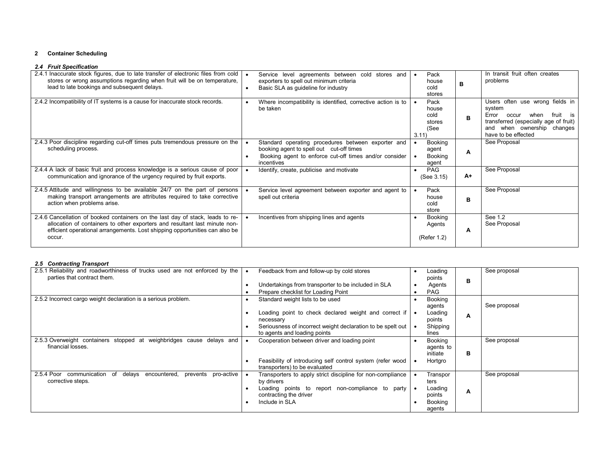## **2 Container Scheduling**

|  | 2.4 Fruit Specification |  |
|--|-------------------------|--|
|  |                         |  |

| 2.4.1 Inaccurate stock figures, due to late transfer of electronic files from cold<br>stores or wrong assumptions regarding when fruit will be on temperature,<br>lead to late bookings and subsequent delays.                                        | Service level agreements between cold stores and<br>exporters to spell out minimum criteria<br>Basic SLA as guideline for industry<br>$\bullet$                        | Pack<br>house<br>cold<br>stores                 |      | In transit fruit often creates<br>problems                                                                                                                                    |
|-------------------------------------------------------------------------------------------------------------------------------------------------------------------------------------------------------------------------------------------------------|------------------------------------------------------------------------------------------------------------------------------------------------------------------------|-------------------------------------------------|------|-------------------------------------------------------------------------------------------------------------------------------------------------------------------------------|
| 2.4.2 Incompatibility of IT systems is a cause for inaccurate stock records.                                                                                                                                                                          | Where incompatibility is identified, corrective action is to<br>be taken                                                                                               | Pack<br>house<br>cold<br>stores<br>(See<br>3.11 | в    | Users often use wrong fields in<br>system<br>fruit is<br>Error<br>when<br>occur<br>transferred (especially age of fruit)<br>and when ownership changes<br>have to be effected |
| 2.4.3 Poor discipline regarding cut-off times puts tremendous pressure on the<br>scheduling process.                                                                                                                                                  | Standard operating procedures between exporter and<br>booking agent to spell out cut-off times<br>Booking agent to enforce cut-off times and/or consider<br>incentives | Booking<br>agent<br>Booking<br>agent            | A    | See Proposal                                                                                                                                                                  |
| 2.4.4 A lack of basic fruit and process knowledge is a serious cause of poor<br>communication and ignorance of the urgency required by fruit exports.                                                                                                 | Identify, create, publicise and motivate                                                                                                                               | PAG<br>(See 3.15)                               | $A+$ | See Proposal                                                                                                                                                                  |
| 2.4.5 Attitude and willingness to be available 24/7 on the part of persons<br>making transport arrangements are attributes required to take corrective<br>action when problems arise.                                                                 | Service level agreement between exporter and agent to<br>spell out criteria                                                                                            | Pack<br>house<br>cold<br>store                  | в    | See Proposal                                                                                                                                                                  |
| 2.4.6 Cancellation of booked containers on the last day of stack, leads to re-<br>allocation of containers to other exporters and resultant last minute non-<br>efficient operational arrangements. Lost shipping opportunities can also be<br>occur. | Incentives from shipping lines and agents                                                                                                                              | Booking<br>Agents<br>(Refer 1.2)                | A    | See 1.2<br>See Proposal                                                                                                                                                       |

## *2.5 Contracting Transport*

| 2.5.1 Reliability and roadworthiness of trucks used are not enforced by the<br>parties that contract them.   | Feedback from and follow-up by cold stores                                                  | Loading<br>points                |   | See proposal |
|--------------------------------------------------------------------------------------------------------------|---------------------------------------------------------------------------------------------|----------------------------------|---|--------------|
|                                                                                                              | Undertakings from transporter to be included in SLA                                         | Agents                           | в |              |
|                                                                                                              | Prepare checklist for Loading Point                                                         | <b>PAG</b>                       |   |              |
| 2.5.2 Incorrect cargo weight declaration is a serious problem.                                               | Standard weight lists to be used                                                            | <b>Booking</b><br>agents         |   | See proposal |
|                                                                                                              | Loading point to check declared weight and correct if .<br>necessary                        | Loading<br>points                | A |              |
|                                                                                                              | Seriousness of incorrect weight declaration to be spelt out<br>to agents and loading points | Shipping<br>lines                |   |              |
| 2.5.3 Overweight containers stopped at weighbridges cause delays and<br>financial losses.                    | Cooperation between driver and loading point                                                | Booking<br>agents to<br>initiate | в | See proposal |
|                                                                                                              | Feasibility of introducing self control system (refer wood<br>transporters) to be evaluated | Hortgro                          |   |              |
| 2.5.4 Poor<br>communication<br>delays<br>encountered,<br>of<br>pro-active I<br>prevents<br>corrective steps. | Transporters to apply strict discipline for non-compliance<br>by drivers                    | Transpor<br>ters                 |   | See proposal |
|                                                                                                              | Loading points to report non-compliance to party<br>contracting the driver                  | Loading<br>points                | A |              |
|                                                                                                              | Include in SLA                                                                              | Booking<br>agents                |   |              |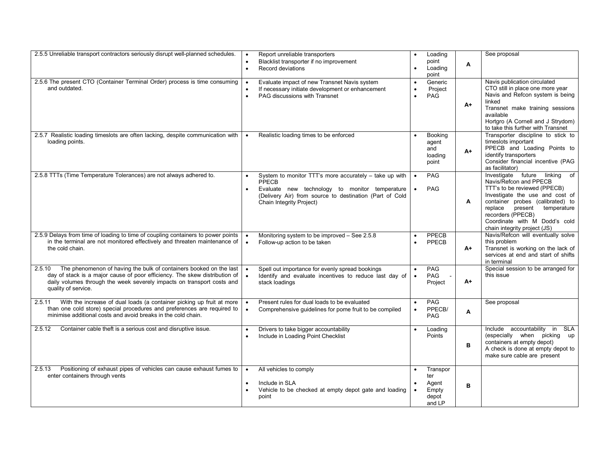| 2.5.5 Unreliable transport contractors seriously disrupt well-planned schedules.                                                                                                                                                                            | $\bullet$              | Report unreliable transporters<br>Blacklist transporter if no improvement<br>Record deviations                                                                                                           | $\bullet$<br>$\bullet$              | Loading<br>point<br>Loading<br>point                 | Α    | See proposal                                                                                                                                                                                                                                                                              |
|-------------------------------------------------------------------------------------------------------------------------------------------------------------------------------------------------------------------------------------------------------------|------------------------|----------------------------------------------------------------------------------------------------------------------------------------------------------------------------------------------------------|-------------------------------------|------------------------------------------------------|------|-------------------------------------------------------------------------------------------------------------------------------------------------------------------------------------------------------------------------------------------------------------------------------------------|
| 2.5.6 The present CTO (Container Terminal Order) process is time consuming<br>and outdated.                                                                                                                                                                 | $\bullet$              | Evaluate impact of new Transnet Navis system<br>If necessary initiate development or enhancement<br>PAG discussions with Transnet                                                                        | $\bullet$<br>$\bullet$<br>$\bullet$ | Generic<br>Project<br>PAG                            | $A+$ | Navis publication circulated<br>CTO still in place one more year<br>Navis and Refcon system is being<br>linked<br>Transnet make training sessions<br>available<br>Hortgro (A Cornell and J Strydom)<br>to take this further with Transnet                                                 |
| 2.5.7 Realistic loading timeslots are often lacking, despite communication with<br>loading points.                                                                                                                                                          |                        | Realistic loading times to be enforced                                                                                                                                                                   |                                     | Booking<br>agent<br>and<br>loading<br>point          | A+   | Transporter discipline to stick to<br>timeslots important<br>PPECB and Loading Points to<br>identify transporters<br>Consider financial incentive (PAG<br>as facilitator)                                                                                                                 |
| 2.5.8 TTTs (Time Temperature Tolerances) are not always adhered to.                                                                                                                                                                                         | $\bullet$<br>$\bullet$ | System to monitor TTT's more accurately – take up with<br>PPECB<br>Evaluate new technology to monitor temperature<br>(Delivery Air) from source to destination (Part of Cold<br>Chain Integrity Project) | $\bullet$                           | <b>PAG</b><br>PAG                                    | Α    | Investigate future linking of<br>Navis/Refcon and PPECB<br>TTT's to be reviewed (PPECB)<br>Investigate the use and cost of<br>container probes (calibrated) to<br>replace<br>present<br>temperature<br>recorders (PPECB)<br>Coordinate with M Dodd's cold<br>chain integrity project (JS) |
| 2.5.9 Delays from time of loading to time of coupling containers to power points<br>in the terminal are not monitored effectively and threaten maintenance of<br>the cold chain.                                                                            |                        | Monitoring system to be improved - See 2.5.8<br>Follow-up action to be taken                                                                                                                             | $\bullet$                           | PPECB<br>PPECB                                       | A+   | Navis/Refcon will eventually solve<br>this problem<br>Transnet is working on the lack of<br>services at end and start of shifts<br>in terminal                                                                                                                                            |
| The phenomenon of having the bulk of containers booked on the last<br>2.5.10<br>day of stack is a major cause of poor efficiency. The skew distribution of<br>daily volumes through the week severely impacts on transport costs and<br>quality of service. |                        | Spell out importance for evenly spread bookings<br>Identify and evaluate incentives to reduce last day of<br>stack loadings                                                                              | $\bullet$                           | PAG<br><b>PAG</b><br>Project                         | A+   | Special session to be arranged for<br>this issue                                                                                                                                                                                                                                          |
| With the increase of dual loads (a container picking up fruit at more<br>2.5.11<br>than one cold store) special procedures and preferences are required to<br>minimise additional costs and avoid breaks in the cold chain.                                 |                        | Present rules for dual loads to be evaluated<br>Comprehensive guidelines for pome fruit to be compiled                                                                                                   | $\bullet$<br>$\bullet$              | PAG<br>PPECB/<br>PAG                                 | A    | See proposal                                                                                                                                                                                                                                                                              |
| 2.5.12<br>Container cable theft is a serious cost and disruptive issue.                                                                                                                                                                                     |                        | Drivers to take bigger accountability<br>Include in Loading Point Checklist                                                                                                                              | $\bullet$                           | Loading<br>Points                                    | в    | Include accountability in SLA<br>(especially when picking up<br>containers at empty depot)<br>A check is done at empty depot to<br>make sure cable are present                                                                                                                            |
| Positioning of exhaust pipes of vehicles can cause exhaust fumes to<br>2.5.13<br>enter containers through vents                                                                                                                                             | $\bullet$<br>$\bullet$ | All vehicles to comply<br>Include in SLA<br>Vehicle to be checked at empty depot gate and loading<br>point                                                                                               | $\bullet$                           | Transpor<br>ter<br>Agent<br>Empty<br>depot<br>and LP | в    |                                                                                                                                                                                                                                                                                           |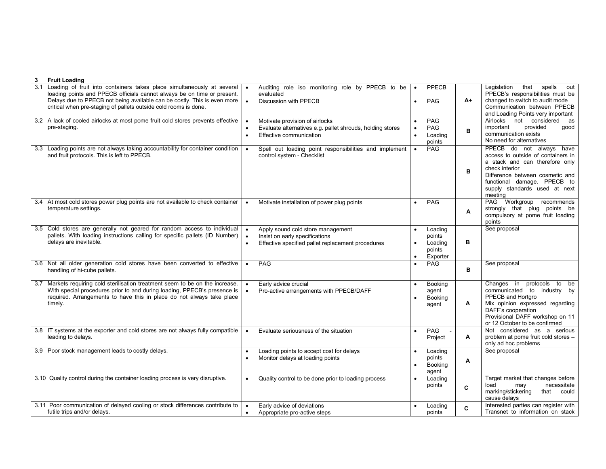| 3   | <b>Fruit Loading</b>                                                                                                                                                                                                                                                                              |           |                                                                                                                          |                                     |                                                    |    |                                                                                                                                                                                                                                  |
|-----|---------------------------------------------------------------------------------------------------------------------------------------------------------------------------------------------------------------------------------------------------------------------------------------------------|-----------|--------------------------------------------------------------------------------------------------------------------------|-------------------------------------|----------------------------------------------------|----|----------------------------------------------------------------------------------------------------------------------------------------------------------------------------------------------------------------------------------|
| 3.1 | Loading of fruit into containers takes place simultaneously at several<br>loading points and PPECB officials cannot always be on time or present.<br>Delays due to PPECB not being available can be costly. This is even more<br>critical when pre-staging of pallets outside cold rooms is done. | $\bullet$ | Auditing role iso monitoring role by PPECB to be<br>evaluated<br>Discussion with PPECB                                   | $\bullet$                           | PPECB<br>PAG                                       | A+ | Legislation that<br>spells<br>out<br>PPECB's responsibilities must be<br>changed to switch to audit mode<br>Communication between PPECB<br>and Loading Points very important                                                     |
|     | 3.2 A lack of cooled airlocks at most pome fruit cold stores prevents effective<br>pre-staging.                                                                                                                                                                                                   | $\bullet$ | Motivate provision of airlocks<br>Evaluate alternatives e.g. pallet shrouds, holding stores<br>Effective communication   | $\bullet$<br>$\bullet$<br>$\bullet$ | PAG<br>PAG<br>Loading<br>points                    | в  | Airlocks<br>not<br>considered as<br>important<br>provided<br>good<br>communication exists<br>No need for alternatives                                                                                                            |
|     | 3.3 Loading points are not always taking accountability for container condition<br>and fruit protocols. This is left to PPECB.                                                                                                                                                                    |           | Spell out loading point responsibilities and implement<br>control system - Checklist                                     | $\bullet$                           | PAG                                                | в  | PPECB do not always have<br>access to outside of containers in<br>a stack and can therefore only<br>check interior<br>Difference between cosmetic and<br>functional damage. PPECB to<br>supply standards used at next<br>meeting |
|     | 3.4 At most cold stores power plug points are not available to check container<br>temperature settings.                                                                                                                                                                                           |           | Motivate installation of power plug points                                                                               | $\bullet$                           | PAG                                                | A  | PAG Workgroup<br>recommends<br>strongly that plug points be<br>compulsory at pome fruit loading<br>points                                                                                                                        |
|     | 3.5 Cold stores are generally not geared for random access to individual<br>pallets. With loading instructions calling for specific pallets (ID Number)<br>delays are inevitable.                                                                                                                 |           | Apply sound cold store management<br>Insist on early specifications<br>Effective specified pallet replacement procedures | $\bullet$<br>$\bullet$<br>$\bullet$ | Loading<br>points<br>Loading<br>points<br>Exporter | в  | See proposal                                                                                                                                                                                                                     |
|     | 3.6 Not all older generation cold stores have been converted to effective<br>handling of hi-cube pallets.                                                                                                                                                                                         |           | PAG                                                                                                                      | $\bullet$                           | PAG                                                | в  | See proposal                                                                                                                                                                                                                     |
|     | 3.7 Markets requiring cold sterilisation treatment seem to be on the increase.<br>With special procedures prior to and during loading, PPECB's presence is<br>required. Arrangements to have this in place do not always take place<br>timely.                                                    |           | Early advice crucial<br>Pro-active arrangements with PPECB/DAFF                                                          |                                     | Booking<br>agent<br>Booking<br>agent               | A  | Changes in protocols<br>to be<br>communicated to industry by<br>PPECB and Hortgro<br>Mix opinion expressed regarding<br>DAFF's cooperation<br>Provisional DAFF workshop on 11<br>or 12 October to be confirmed                   |
|     | 3.8 IT systems at the exporter and cold stores are not always fully compatible<br>leading to delays.                                                                                                                                                                                              |           | Evaluate seriousness of the situation                                                                                    | $\bullet$                           | PAG<br>Project                                     | A  | Not considered as a serious<br>problem at pome fruit cold stores -<br>only ad hoc problems                                                                                                                                       |
|     | 3.9 Poor stock management leads to costly delays.                                                                                                                                                                                                                                                 | $\bullet$ | Loading points to accept cost for delays<br>Monitor delays at loading points                                             | $\bullet$<br>$\bullet$              | Loading<br>points<br><b>Booking</b><br>agent       | А  | See proposal                                                                                                                                                                                                                     |
|     | 3.10 Quality control during the container loading process is very disruptive.                                                                                                                                                                                                                     | $\bullet$ | Quality control to be done prior to loading process                                                                      | $\bullet$                           | Loading<br>points                                  | C  | Target market that changes before<br>necessitate<br>load<br>may<br>marking/stickering<br>that could<br>cause delays                                                                                                              |
|     | 3.11 Poor communication of delayed cooling or stock differences contribute to<br>futile trips and/or delays.                                                                                                                                                                                      | $\bullet$ | Early advice of deviations<br>Appropriate pro-active steps                                                               |                                     | Loading<br>points                                  | C  | Interested parties can register with<br>Transnet to information on stack                                                                                                                                                         |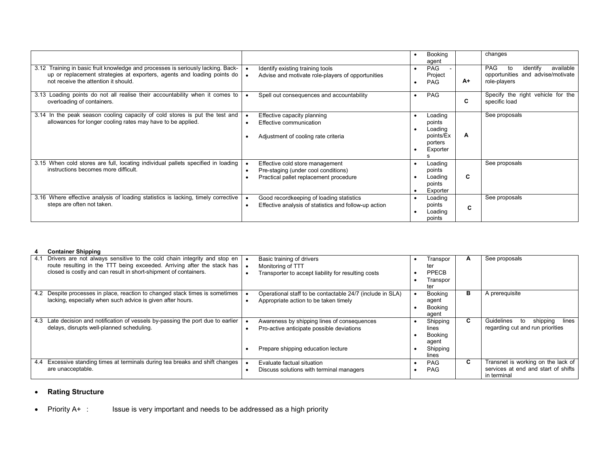|                                                                                                                                                                                                     |                                                                                                                  | Booking<br>agent                                                 |    | changes                                                                                        |
|-----------------------------------------------------------------------------------------------------------------------------------------------------------------------------------------------------|------------------------------------------------------------------------------------------------------------------|------------------------------------------------------------------|----|------------------------------------------------------------------------------------------------|
| 3.12 Training in basic fruit knowledge and processes is seriously lacking. Back-<br>up or replacement strategies at exporters, agents and loading points do<br>not receive the attention it should. | Identify existing training tools<br>Advise and motivate role-players of opportunities                            | <b>PAG</b><br>Project<br><b>PAG</b>                              | A+ | <b>PAG</b><br>available<br>identify<br>to<br>opportunities and advise/motivate<br>role-players |
| 3.13 Loading points do not all realise their accountability when it comes to<br>overloading of containers.                                                                                          | Spell out consequences and accountability                                                                        | <b>PAG</b>                                                       | C  | Specify the right vehicle for the<br>specific load                                             |
| 3.14 In the peak season cooling capacity of cold stores is put the test and<br>allowances for longer cooling rates may have to be applied.                                                          | Effective capacity planning<br>Effective communication<br>Adjustment of cooling rate criteria                    | Loading<br>points<br>Loading<br>points/Ex<br>porters<br>Exporter | A  | See proposals                                                                                  |
| 3.15 When cold stores are full, locating individual pallets specified in loading  <br>instructions becomes more difficult.                                                                          | Effective cold store management<br>Pre-staging (under cool conditions)<br>Practical pallet replacement procedure | Loading<br>points<br>Loading<br>points<br>Exporter               | C  | See proposals                                                                                  |
| 3.16 Where effective analysis of loading statistics is lacking, timely corrective<br>steps are often not taken.                                                                                     | Good recordkeeping of loading statistics<br>Effective analysis of statistics and follow-up action                | Loading<br>points<br>Loading<br>points                           | C  | See proposals                                                                                  |

#### **4 Container Shipping**

| 4.1 | Drivers are not always sensitive to the cold chain integrity and stop en $  \bullet$ | Basic training of drivers                                 | Transpor       | A  | See proposals                         |
|-----|--------------------------------------------------------------------------------------|-----------------------------------------------------------|----------------|----|---------------------------------------|
|     | route resulting in the TTT being exceeded. Arriving after the stack has              | Monitoring of TTT                                         | ter            |    |                                       |
|     | closed is costly and can result in short-shipment of containers.                     | Transporter to accept liability for resulting costs       | PPECB          |    |                                       |
|     |                                                                                      |                                                           | Transpor       |    |                                       |
|     |                                                                                      |                                                           | ter            |    |                                       |
| 4.2 | Despite processes in place, reaction to changed stack times is sometimes             | Operational staff to be contactable 24/7 (include in SLA) | Booking        | в  | A prerequisite                        |
|     | lacking, especially when such advice is given after hours.                           | Appropriate action to be taken timely                     | agent          |    |                                       |
|     |                                                                                      |                                                           | <b>Booking</b> |    |                                       |
|     |                                                                                      |                                                           | agent          |    |                                       |
| 4.3 | Late decision and notification of vessels by-passing the port due to earlier         | Awareness by shipping lines of consequences               | Shipping       | C. | shipping<br>Guidelines<br>lines<br>to |
|     | delays, disrupts well-planned scheduling.                                            | Pro-active anticipate possible deviations                 | lines          |    | regarding cut and run priorities      |
|     |                                                                                      |                                                           | <b>Booking</b> |    |                                       |
|     |                                                                                      |                                                           | agent          |    |                                       |
|     |                                                                                      | Prepare shipping education lecture                        | Shipping       |    |                                       |
|     |                                                                                      |                                                           | lines          |    |                                       |
| 4.4 | Excessive standing times at terminals during tea breaks and shift changes            | Evaluate factual situation                                | <b>PAG</b>     | C  | Transnet is working on the lack of    |
|     | are unacceptable.                                                                    | Discuss solutions with terminal managers                  | <b>PAG</b>     |    | services at end and start of shifts   |
|     |                                                                                      |                                                           |                |    | in terminal                           |

#### •**Rating Structure**

• Priority A+ : Issue is very important and needs to be addressed as a high priority